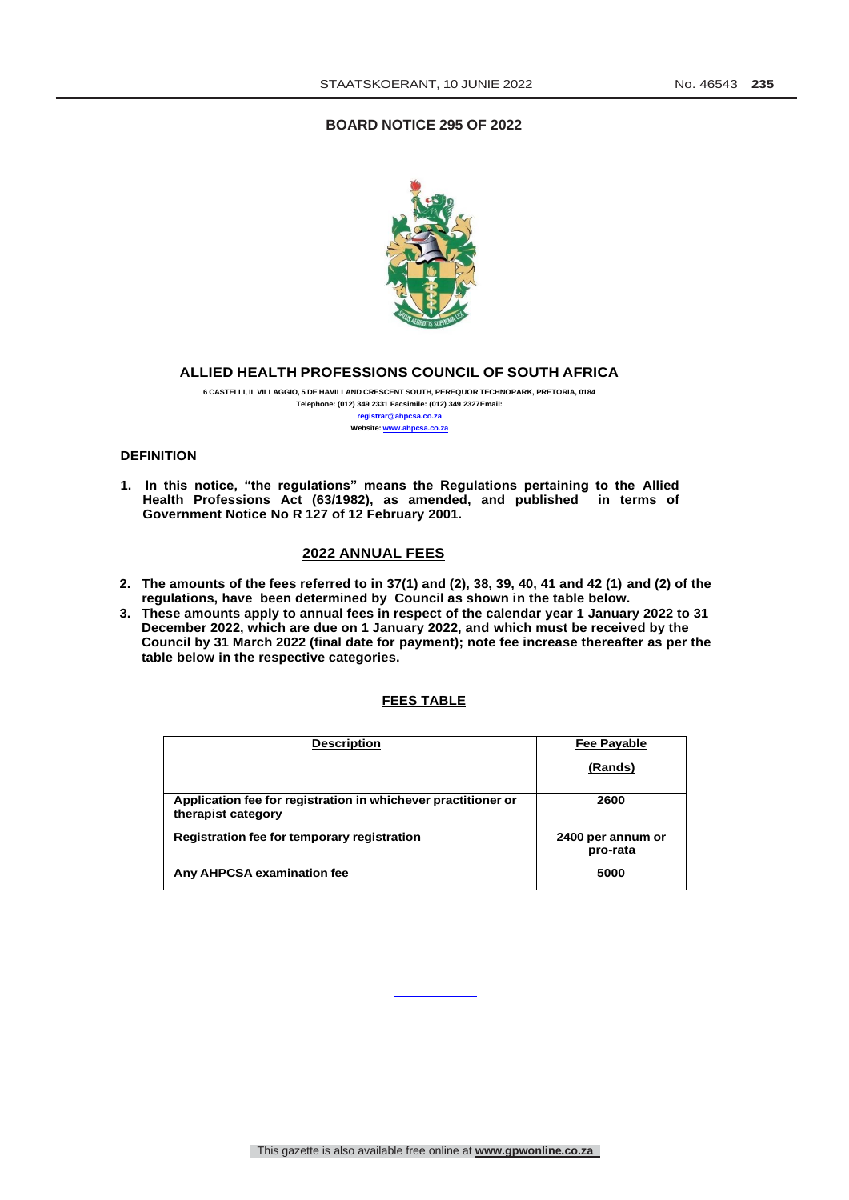# **BOARD NOTICE 295 OF 2022**



# **ALLIED HEALTH PROFESSIONS COUNCIL OF SOUTH AFRICA**

**6 CASTELLI, IL VILLAGGIO, 5 DE HAVILLAND CRESCENT SOUTH, PEREQUOR TECHNOPARK, PRETORIA, 0184 Telephone: (012) 349 2331 Facsimile: (012) 349 2327Email: [registrar@ahpcsa.co.za](mailto:registrar@ahpcsa.co.za) Website: [www.ahpcsa.co.za](http://www.ahpcsa.co.za/)**

### **DEFINITION**

**1. In this notice, "the regulations" means the Regulations pertaining to the Allied Health Professions Act (63/1982), as amended, and published in terms of Government Notice No R 127 of 12 February 2001.**

# **2022 ANNUAL FEES**

- **2. The amounts of the fees referred to in 37(1) and (2), 38, 39, 40, 41 and 42 (1) and (2) of the regulations, have been determined by Council as shown in the table below.**
- **3. These amounts apply to annual fees in respect of the calendar year 1 January 2022 to 31 December 2022, which are due on 1 January 2022, and which must be received by the Council by 31 March 2022 (final date for payment); note fee increase thereafter as per the table below in the respective categories.**

### **FEES TABLE**

| <b>Description</b>                                                                  | Fee Payable                   |
|-------------------------------------------------------------------------------------|-------------------------------|
|                                                                                     | (Rands)                       |
| Application fee for registration in whichever practitioner or<br>therapist category | 2600                          |
| Registration fee for temporary registration                                         | 2400 per annum or<br>pro-rata |
| Any AHPCSA examination fee                                                          | 5000                          |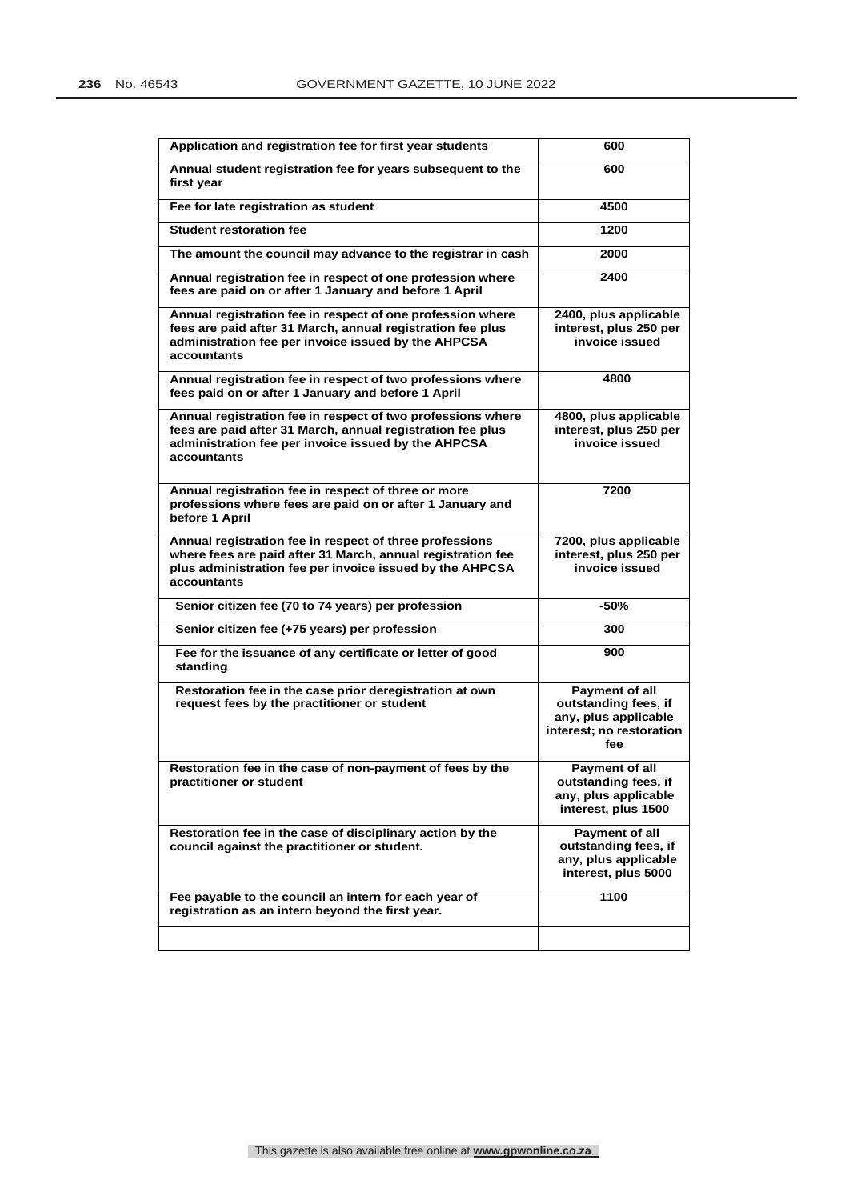| Application and registration fee for first year students                                                                                                                                          | 600                                                                                               |
|---------------------------------------------------------------------------------------------------------------------------------------------------------------------------------------------------|---------------------------------------------------------------------------------------------------|
| Annual student registration fee for years subsequent to the<br>first year                                                                                                                         | 600                                                                                               |
| Fee for late registration as student                                                                                                                                                              | 4500                                                                                              |
| <b>Student restoration fee</b>                                                                                                                                                                    | 1200                                                                                              |
| The amount the council may advance to the registrar in cash                                                                                                                                       | 2000                                                                                              |
| Annual registration fee in respect of one profession where<br>fees are paid on or after 1 January and before 1 April                                                                              | 2400                                                                                              |
| Annual registration fee in respect of one profession where<br>fees are paid after 31 March, annual registration fee plus<br>administration fee per invoice issued by the AHPCSA<br>accountants    | 2400, plus applicable<br>interest, plus 250 per<br>invoice issued                                 |
| Annual registration fee in respect of two professions where<br>fees paid on or after 1 January and before 1 April                                                                                 | 4800                                                                                              |
| Annual registration fee in respect of two professions where<br>fees are paid after 31 March, annual registration fee plus<br>administration fee per invoice issued by the AHPCSA<br>accountants   | 4800, plus applicable<br>interest, plus 250 per<br>invoice issued                                 |
| Annual registration fee in respect of three or more<br>professions where fees are paid on or after 1 January and<br>before 1 April                                                                | 7200                                                                                              |
| Annual registration fee in respect of three professions<br>where fees are paid after 31 March, annual registration fee<br>plus administration fee per invoice issued by the AHPCSA<br>accountants | 7200, plus applicable<br>interest, plus 250 per<br>invoice issued                                 |
| Senior citizen fee (70 to 74 years) per profession                                                                                                                                                | -50%                                                                                              |
| Senior citizen fee (+75 years) per profession                                                                                                                                                     | 300                                                                                               |
| Fee for the issuance of any certificate or letter of good<br>standing                                                                                                                             | 900                                                                                               |
| Restoration fee in the case prior deregistration at own<br>request fees by the practitioner or student                                                                                            | Payment of all<br>outstanding fees, if<br>any, plus applicable<br>interest; no restoration<br>fee |
| Restoration fee in the case of non-payment of fees by the<br>practitioner or student                                                                                                              | <b>Payment of all</b><br>outstanding fees, if<br>any, plus applicable<br>interest, plus 1500      |
| Restoration fee in the case of disciplinary action by the<br>council against the practitioner or student.                                                                                         | Payment of all<br>outstanding fees, if<br>any, plus applicable<br>interest, plus 5000             |
| Fee payable to the council an intern for each year of<br>registration as an intern beyond the first year.                                                                                         | 1100                                                                                              |
|                                                                                                                                                                                                   |                                                                                                   |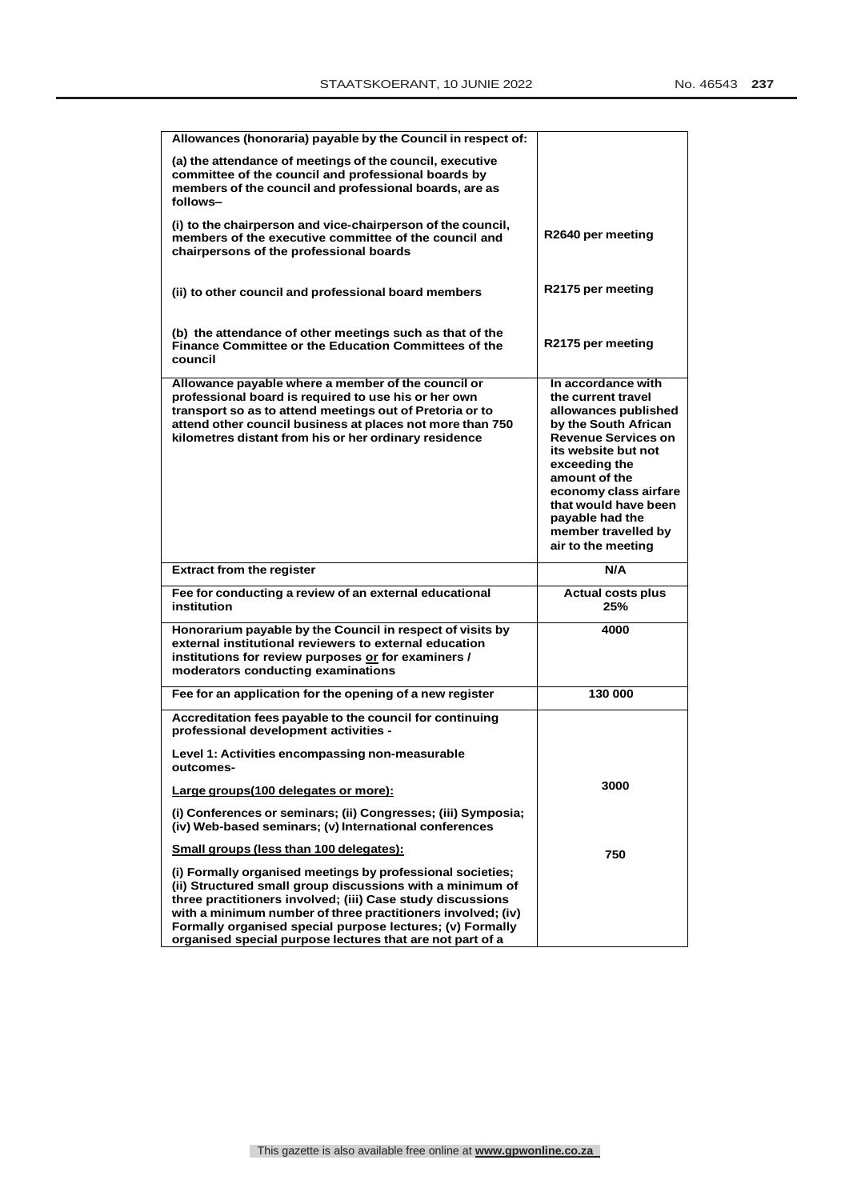| Allowances (honoraria) payable by the Council in respect of:                                                                                                                                                                                                                                                                                                                   |                                                                                                                                                                                                                                                                                                  |
|--------------------------------------------------------------------------------------------------------------------------------------------------------------------------------------------------------------------------------------------------------------------------------------------------------------------------------------------------------------------------------|--------------------------------------------------------------------------------------------------------------------------------------------------------------------------------------------------------------------------------------------------------------------------------------------------|
| (a) the attendance of meetings of the council, executive<br>committee of the council and professional boards by<br>members of the council and professional boards, are as<br>follows-                                                                                                                                                                                          |                                                                                                                                                                                                                                                                                                  |
| (i) to the chairperson and vice-chairperson of the council,<br>members of the executive committee of the council and<br>chairpersons of the professional boards                                                                                                                                                                                                                | R2640 per meeting                                                                                                                                                                                                                                                                                |
| (ii) to other council and professional board members                                                                                                                                                                                                                                                                                                                           | R2175 per meeting                                                                                                                                                                                                                                                                                |
| (b) the attendance of other meetings such as that of the<br>Finance Committee or the Education Committees of the<br>council                                                                                                                                                                                                                                                    | R2175 per meeting                                                                                                                                                                                                                                                                                |
| Allowance payable where a member of the council or<br>professional board is required to use his or her own<br>transport so as to attend meetings out of Pretoria or to<br>attend other council business at places not more than 750<br>kilometres distant from his or her ordinary residence                                                                                   | In accordance with<br>the current travel<br>allowances published<br>by the South African<br><b>Revenue Services on</b><br>its website but not<br>exceeding the<br>amount of the<br>economy class airfare<br>that would have been<br>payable had the<br>member travelled by<br>air to the meeting |
| <b>Extract from the register</b>                                                                                                                                                                                                                                                                                                                                               | N/A                                                                                                                                                                                                                                                                                              |
| Fee for conducting a review of an external educational<br>institution                                                                                                                                                                                                                                                                                                          | <b>Actual costs plus</b><br>25%                                                                                                                                                                                                                                                                  |
| Honorarium payable by the Council in respect of visits by<br>external institutional reviewers to external education<br>institutions for review purposes or for examiners /<br>moderators conducting examinations                                                                                                                                                               | 4000                                                                                                                                                                                                                                                                                             |
| Fee for an application for the opening of a new register                                                                                                                                                                                                                                                                                                                       | 130 000                                                                                                                                                                                                                                                                                          |
| Accreditation fees payable to the council for continuing<br>professional development activities -                                                                                                                                                                                                                                                                              |                                                                                                                                                                                                                                                                                                  |
| Level 1: Activities encompassing non-measurable<br>outcomes-                                                                                                                                                                                                                                                                                                                   |                                                                                                                                                                                                                                                                                                  |
| Large groups (100 delegates or more):                                                                                                                                                                                                                                                                                                                                          | 3000                                                                                                                                                                                                                                                                                             |
| (i) Conferences or seminars; (ii) Congresses; (iii) Symposia;<br>(iv) Web-based seminars; (v) International conferences                                                                                                                                                                                                                                                        |                                                                                                                                                                                                                                                                                                  |
| Small groups (less than 100 delegates):                                                                                                                                                                                                                                                                                                                                        | 750                                                                                                                                                                                                                                                                                              |
| (i) Formally organised meetings by professional societies;<br>(ii) Structured small group discussions with a minimum of<br>three practitioners involved; (iii) Case study discussions<br>with a minimum number of three practitioners involved; (iv)<br>Formally organised special purpose lectures; (v) Formally<br>organised special purpose lectures that are not part of a |                                                                                                                                                                                                                                                                                                  |